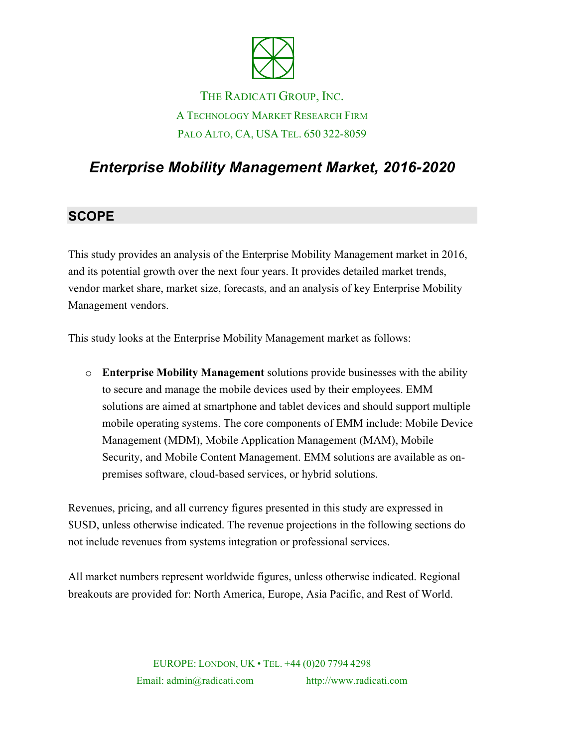

# THE RADICATI GROUP, INC. A TECHNOLOGY MARKET RESEARCH FIRM PALO ALTO, CA, USA TEL. 650 322-8059

# *Enterprise Mobility Management Market, 2016-2020*

#### **SCOPE**

This study provides an analysis of the Enterprise Mobility Management market in 2016, and its potential growth over the next four years. It provides detailed market trends, vendor market share, market size, forecasts, and an analysis of key Enterprise Mobility Management vendors.

This study looks at the Enterprise Mobility Management market as follows:

o **Enterprise Mobility Management** solutions provide businesses with the ability to secure and manage the mobile devices used by their employees. EMM solutions are aimed at smartphone and tablet devices and should support multiple mobile operating systems. The core components of EMM include: Mobile Device Management (MDM), Mobile Application Management (MAM), Mobile Security, and Mobile Content Management. EMM solutions are available as onpremises software, cloud-based services, or hybrid solutions.

Revenues, pricing, and all currency figures presented in this study are expressed in \$USD, unless otherwise indicated. The revenue projections in the following sections do not include revenues from systems integration or professional services.

All market numbers represent worldwide figures, unless otherwise indicated. Regional breakouts are provided for: North America, Europe, Asia Pacific, and Rest of World.

> EUROPE: LONDON, UK • TEL. +44 (0)20 7794 4298 Email: admin@radicati.com http://www.radicati.com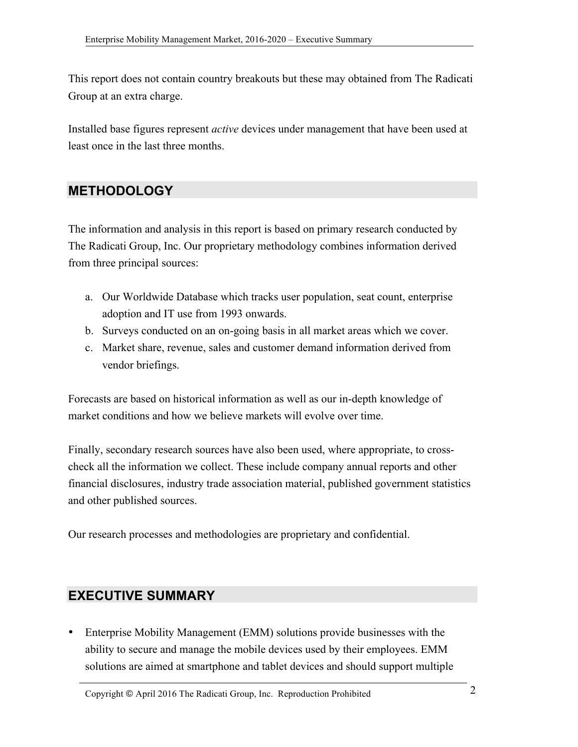This report does not contain country breakouts but these may obtained from The Radicati Group at an extra charge.

Installed base figures represent *active* devices under management that have been used at least once in the last three months.

#### **METHODOLOGY**

The information and analysis in this report is based on primary research conducted by The Radicati Group, Inc. Our proprietary methodology combines information derived from three principal sources:

- a. Our Worldwide Database which tracks user population, seat count, enterprise adoption and IT use from 1993 onwards.
- b. Surveys conducted on an on-going basis in all market areas which we cover.
- c. Market share, revenue, sales and customer demand information derived from vendor briefings.

Forecasts are based on historical information as well as our in-depth knowledge of market conditions and how we believe markets will evolve over time.

Finally, secondary research sources have also been used, where appropriate, to crosscheck all the information we collect. These include company annual reports and other financial disclosures, industry trade association material, published government statistics and other published sources.

Our research processes and methodologies are proprietary and confidential.

#### **EXECUTIVE SUMMARY**

• Enterprise Mobility Management (EMM) solutions provide businesses with the ability to secure and manage the mobile devices used by their employees. EMM solutions are aimed at smartphone and tablet devices and should support multiple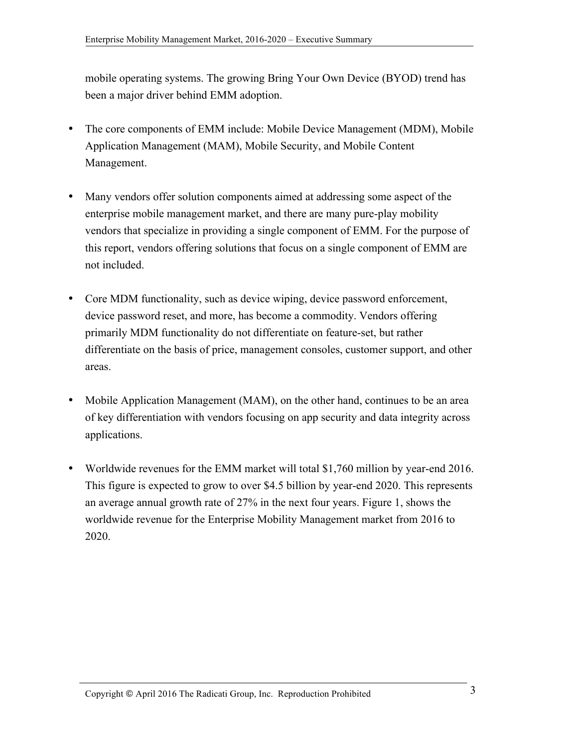mobile operating systems. The growing Bring Your Own Device (BYOD) trend has been a major driver behind EMM adoption.

- The core components of EMM include: Mobile Device Management (MDM), Mobile Application Management (MAM), Mobile Security, and Mobile Content Management.
- Many vendors offer solution components aimed at addressing some aspect of the enterprise mobile management market, and there are many pure-play mobility vendors that specialize in providing a single component of EMM. For the purpose of this report, vendors offering solutions that focus on a single component of EMM are not included.
- Core MDM functionality, such as device wiping, device password enforcement, device password reset, and more, has become a commodity. Vendors offering primarily MDM functionality do not differentiate on feature-set, but rather differentiate on the basis of price, management consoles, customer support, and other areas.
- Mobile Application Management (MAM), on the other hand, continues to be an area of key differentiation with vendors focusing on app security and data integrity across applications.
- Worldwide revenues for the EMM market will total \$1,760 million by year-end 2016. This figure is expected to grow to over \$4.5 billion by year-end 2020. This represents an average annual growth rate of 27% in the next four years. Figure 1, shows the worldwide revenue for the Enterprise Mobility Management market from 2016 to 2020.